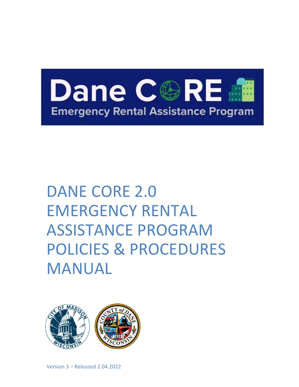

# DANE CORE 2.0 EMERGENCY RENTAL ASSISTANCE PROGRAM POLICIES & PROCEDURES MANUAL

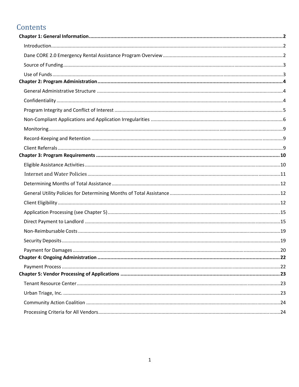# Contents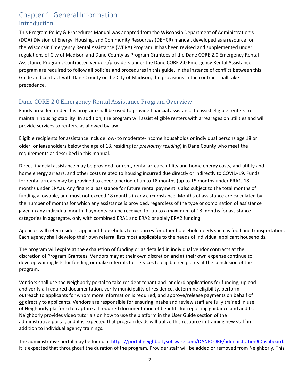# Chapter 1: General Information Introduction

This Program Policy & Procedures Manual was adapted from the Wisconsin Department of Administration's (DOA) Division of Energy, Housing, and Community Resources (DEHCR) manual, developed as a resource for the Wisconsin Emergency Rental Assistance (WERA) Program. It has been revised and supplemented under regulations of City of Madison and Dane County as Program Grantees of the Dane CORE 2.0 Emergency Rental Assistance Program. Contracted vendors/providers under the Dane CORE 2.0 Emergency Rental Assistance program are required to follow all policies and procedures in this guide. In the instance of conflict between this Guide and contract with Dane County or the City of Madison, the provisions in the contract shall take precedence.

### Dane CORE 2.0 Emergency Rental Assistance Program Overview

Funds provided under this program shall be used to provide financial assistance to assist eligible renters to maintain housing stability. In addition, the program will assist eligible renters with arrearages on utilities and will provide services to renters, as allowed by law.

Eligible recipients for assistance include low‐ to moderate‐income households or individual persons age 18 or older, or leaseholders below the age of 18, residing (*or previously residing*) in Dane County who meet the requirements as described in this manual.

Direct financial assistance may be provided for rent, rental arrears, utility and home energy costs, and utility and home energy arrears, and other costs related to housing incurred due directly or indirectly to COVID‐19. Funds for rental arrears may be provided to cover a period of up to 18 months (up to 15 months under ERA1, 18 months under ERA2). Any financial assistance for future rental payment is also subject to the total months of funding allowable, and must not exceed 18 months in any circumstance. Months of assistance are calculated by the number of months for which any assistance is provided, regardless of the type or combination of assistance given in any individual month. Payments can be received for up to a maximum of 18 months for assistance categories in aggregate, only with combined ERA1 and ERA2 or solely ERA2 funding.

Agencies will refer resident applicant households to resources for other household needs such as food and transportation. Each agency shall develop their own referral lists most applicable to the needs of individual applicant households.

The program will expire at the exhaustion of funding or as detailed in individual vendor contracts at the discretion of Program Grantees. Vendors may at their own discretion and at their own expense continue to develop waiting lists for funding or make referrals for services to eligible recipients at the conclusion of the program.

Vendors shall use the Neighborly portal to take resident tenant and landlord applications for funding, upload and verify all required documentation, verify municipality of residence, determine eligibility, perform outreach to applicants for whom more information is required, and approve/release payments on behalf of or directly to applicants. Vendors are responsible for ensuring intake and review staff are fully trained in use of Neighborly platform to capture all required documentation of benefits for reporting guidance and audits. Neighborly provides video tutorials on how to use the platform in the User Guide section of the administrative portal, and it is expected that program leads will utilize this resource in training new staff in addition to individual agency trainings.

The administrative portal may be found at https://portal.neighborlysoftware.com/DANECORE/administration#Dashboard. It is expected that throughout the duration of the program, Provider staff will be added or removed from Neighborly. This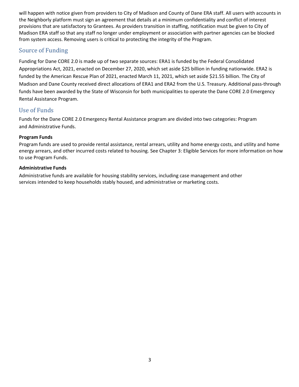will happen with notice given from providers to City of Madison and County of Dane ERA staff. All users with accounts in the Neighborly platform must sign an agreement that details at a minimum confidentiality and conflict of interest provisions that are satisfactory to Grantees. As providers transition in staffing, notification must be given to City of Madison ERA staff so that any staff no longer under employment or association with partner agencies can be blocked from system access. Removing users is critical to protecting the integrity of the Program.

#### Source of Funding

Funding for Dane CORE 2.0 is made up of two separate sources: ERA1 is funded by the Federal Consolidated Appropriations Act, 2021, enacted on December 27, 2020, which set aside \$25 billion in funding nationwide. ERA2 is funded by the American Rescue Plan of 2021, enacted March 11, 2021, which set aside \$21.55 billion. The City of Madison and Dane County received direct allocations of ERA1 and ERA2 from the U.S. Treasury. Additional pass‐through funds have been awarded by the State of Wisconsin for both municipalities to operate the Dane CORE 2.0 Emergency Rental Assistance Program.

# Use of Funds

Funds for the Dane CORE 2.0 Emergency Rental Assistance program are divided into two categories: Program and Administrative Funds.

#### **Program Funds**

Program funds are used to provide rental assistance, rental arrears, utility and home energy costs, and utility and home energy arrears, and other incurred costs related to housing. See Chapter 3: Eligible Services for more information on how to use Program Funds.

#### **Administrative Funds**

Administrative funds are available for housing stability services, including case management and other services intended to keep households stably housed, and administrative or marketing costs.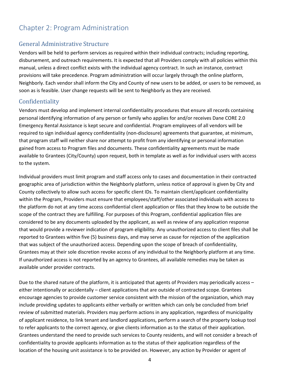# Chapter 2: Program Administration

#### General Administrative Structure

Vendors will be held to perform services as required within their individual contracts; including reporting, disbursement, and outreach requirements. It is expected that all Providers comply with all policies within this manual, unless a direct conflict exists with the individual agency contract. In such an instance, contract provisions will take precedence. Program administration will occur largely through the online platform, Neighborly. Each vendor shall inform the City and County of new users to be added, or users to be removed, as soon as is feasible. User change requests will be sent to Neighborly as they are received.

#### Confidentiality

Vendors must develop and implement internal confidentiality procedures that ensure all records containing personal identifying information of any person or family who applies for and/or receives Dane CORE 2.0 Emergency Rental Assistance is kept secure and confidential. Program employees of all vendors will be required to sign individual agency confidentiality (non-disclosure) agreements that guarantee, at minimum, that program staff will neither share nor attempt to profit from any identifying or personal information gained from access to Program files and documents. These confidentiality agreements must be made available to Grantees (City/County) upon request, both in template as well as for individual users with access to the system.

Individual providers must limit program and staff access only to cases and documentation in their contracted geographic area of jurisdiction within the Neighborly platform, unless notice of approval is given by City and County collectively to allow such access for specific client IDs. To maintain client/applicant confidentiality within the Program, Providers must ensure that employees/staff/other associated individuals with access to the platform do not at any time access confidential client application or files that they know to be outside the scope of the contract they are fulfilling. For purposes of this Program, confidential application files are considered to be any documents uploaded by the applicant, as well as review of any application response that would provide a reviewer indication of program eligibility. Any unauthorized access to client files shall be reported to Grantees within five (5) business days, and may serve as cause for rejection of the application that was subject of the unauthorized access. Depending upon the scope of breach of confidentiality, Grantees may at their sole discretion revoke access of any individual to the Neighborly platform at any time. If unauthorized access is not reported by an agency to Grantees, all available remedies may be taken as available under provider contracts.

Due to the shared nature of the platform, it is anticipated that agents of Providers may periodically access – either intentionally or accidentally – client applications that are outside of contracted scope. Grantees encourage agencies to provide customer service consistent with the mission of the organization, which may include providing updates to applicants either verbally or written which can only be concluded from brief review of submitted materials. Providers may perform actions in any application, regardless of municipality of applicant residence, to link tenant and landlord applications, perform a search of the property lookup tool to refer applicants to the correct agency, or give clients information as to the status of their application. Grantees understand the need to provide such services to County residents, and will not consider a breach of confidentiality to provide applicants information as to the status of their application regardless of the location of the housing unit assistance is to be provided on. However, any action by Provider or agent of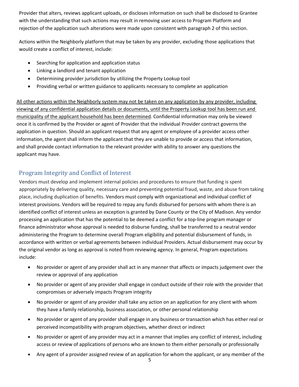Provider that alters, reviews applicant uploads, or discloses information on such shall be disclosed to Grantee with the understanding that such actions may result in removing user access to Program Platform and rejection of the application such alterations were made upon consistent with paragraph 2 of this section.

Actions within the Neighborly platform that may be taken by any provider, excluding those applications that would create a conflict of interest, include:

- Searching for application and application status
- Linking a landlord and tenant application
- Determining provider jurisdiction by utilizing the Property Lookup tool
- Providing verbal or written guidance to applicants necessary to complete an application

All other actions within the Neighborly system may not be taken on any application by any provider, including viewing of any confidential application details or documents, until the Property Lookup tool has been run and municipality of the applicant household has been determined. Confidential information may only be viewed once it is confirmed by the Provider or agent of Provider that the individual Provider contract governs the application in question. Should an applicant request that any agent or employee of a provider access other information, the agent shall inform the applicant that they are unable to provide or access that information, and shall provide contact information to the relevant provider with ability to answer any questions the applicant may have.

# Program Integrity and Conflict of Interest

Vendors must develop and implement internal policies and procedures to ensure that funding is spent appropriately by delivering quality, necessary care and preventing potential fraud, waste, and abuse from taking place, including duplication of benefits. Vendors must comply with organizational and individual conflict of interest provisions. Vendors will be required to repay any funds disbursed for persons with whom there is an identified conflict of interest unless an exception is granted by Dane County or the City of Madison. Any vendor processing an application that has the potential to be deemed a conflict for a top‐line program manager or finance administrator whose approval is needed to disburse funding, shall be transferred to a neutral vendor administering the Program to determine overall Program eligibility and potential disbursement of funds, in accordance with written or verbal agreements between individual Providers. Actual disbursement may occur by the original vendor as long as approval is noted from reviewing agency. In general, Program expectations include:

- No provider or agent of any provider shall act in any manner that affects or impacts judgement over the review or approval of any application
- No provider or agent of any provider shall engage in conduct outside of their role with the provider that compromises or adversely impacts Program integrity
- No provider or agent of any provider shall take any action on an application for any client with whom they have a family relationship, business association, or other personal relationship
- No provider or agent of any provider shall engage in any business or transaction which has either real or perceived incompatibility with program objectives, whether direct or indirect
- No provider or agent of any provider may act in a manner that implies any conflict of interest, including access or review of applications of persons who are known to them either personally or professionally
- Any agent of a provider assigned review of an application for whom the applicant, or any member of the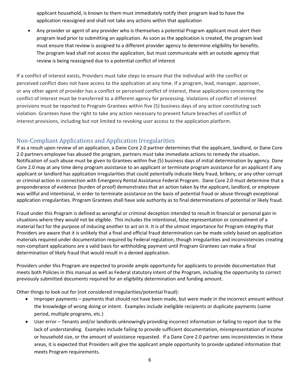applicant household, is known to them must immediately notify their program lead to have the application reassigned and shall not take any actions within that application

 Any provider or agent of any provider who is themselves a potential Program applicant must alert their program lead prior to submitting an application. As soon as the application is created, the program lead must ensure that review is assigned to a different provider agency to determine eligibility for benefits. The program lead shall not access the application, but must communicate with an outside agency that review is being reassigned due to a potential conflict of interest

If a conflict of interest exists, Providers must take steps to ensure that the individual with the conflict or perceived conflict does not have access to the application at any time. If a program, lead, manager, approver, or any other agent of provider has a conflict or perceived conflict of interest, these applications concerning the conflict of interest must be transferred to a different agency for processing. Violations of conflict of interest provisions must be reported to Program Grantees within five (5) business days of any action constituting such violation. Grantees have the right to take any action necessary to prevent future breaches of conflict of interest provisions, including but not limited to revoking user access to the application platform.

### Non-Compliant Applications and Application Irregularities

If as a result upon review of an application, a Dane Core 2.0 partner determines that the applicant, landlord, or Dane Core 2.0 partners employee has abused the program, partners must take immediate actions to remedy the situation. Notification of such abuse must be given to Grantees within five (5) business days of initial determination by agency. Dane Core 2.0 may at any time deny program assistance to an applicant or terminate program assistance for an applicant if any applicant or landlord has application irregularities that could potentially indicate likely fraud, bribery, or any other corrupt or criminal action in connection with Emergency Rental Assistance Federal Program. Dane Core 2.0 must determine that a preponderance of evidence (burden of proof) demonstrates that an action taken by the applicant, landlord, or employee was willful and intentional, in order to terminate assistance on the basis of potential fraud or abuse through exceptional application irregularities. Program Grantees shall have sole authority as to final determinations of potential or likely fraud.

Fraud under this Program is defined as wrongful or criminal deception intended to result in financial or personal gain in situations where they would not be eligible. This includes the intentional, false representation or concealment of a material fact for the purpose of inducing another to act on it. It is of the utmost importance for Program integrity that Providers are aware that it is unlikely that a final and official fraud determination can be made solely based on application materials required under documentation required by Federal regulation, though irregularities and inconsistencies creating non‐compliant applications are a valid basis for withholding payment until Program Grantees can make a final determination of likely fraud that would result in a denied application.

Providers under this Program are expected to provide ample opportunity for applicants to provide documentation that meets both Policies in this manual as well as Federal statutory intent of the Program, including the opportunity to correct previously submitted documents required for an eligibility determination and funding amount.

Other things to look out for (not considered irregularities/potential fraud):

- Improper payments payments that should not have been made, but were made in the incorrect amount without the knowledge of wrong doing or intent. Examples include ineligible recipients or duplicate payments (same period, multiple programs, etc.)
- User error Tenants and/or landlords unknowingly providing incorrect information or failing to report due to the lack of understanding. Examples include failing to provide sufficient documentation, misrepresentation of income or household size, or the amount of assistance requested. If a Dane Core 2.0 partner sees inconsistencies in these areas, it is expected that Providers will give the applicant ample opportunity to provide updated information that meets Program requirements.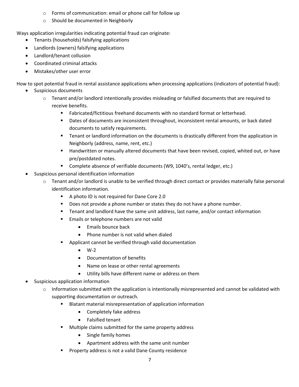- o Forms of communication: email or phone call for follow up
- o Should be documented in Neighborly

Ways application irregularities indicating potential fraud can originate:

- Tenants (households) falsifying applications
- Landlords (owners) falsifying applications
- Landlord/tenant collusion
- Coordinated criminal attacks
- Mistakes/other user error

How to spot potential fraud in rental assistance applications when processing applications (indicators of potential fraud):

- Suspicious documents
	- $\circ$  Tenant and/or landlord intentionally provides misleading or falsified documents that are required to receive benefits.
		- Fabricated/fictitious freehand documents with no standard format or letterhead.
		- Dates of documents are inconsistent throughout, inconsistent rental amounts, or back dated documents to satisfy requirements.
		- Tenant or landlord information on the documents is drastically different from the application in Neighborly (address, name, rent, etc.)
		- **Handwritten or manually altered documents that have been revised, copied, whited out, or have** pre/postdated notes.
		- **Complete absence of verifiable documents (W9, 1040's, rental ledger, etc.)**
- Suspicious personal identification information
	- $\circ$  Tenant and/or landlord is unable to be verified through direct contact or provides materially false personal identification information.
		- A photo ID is not required for Dane Core 2.0
		- Does not provide a phone number or states they do not have a phone number.
		- Tenant and landlord have the same unit address, last name, and/or contact information
		- **Emails or telephone numbers are not valid** 
			- $\bullet$  Emails bounce back
			- Phone number is not valid when dialed
		- Applicant cannot be verified through valid documentation
			- $\bullet$  W-2
			- Documentation of benefits
			- Name on lease or other rental agreements
			- Utility bills have different name or address on them
- Suspicious application information
	- $\circ$  Information submitted with the application is intentionally misrepresented and cannot be validated with supporting documentation or outreach.
		- Blatant material misrepresentation of application information
			- Completely fake address
			- Falsified tenant
		- **Multiple claims submitted for the same property address** 
			- Single family homes
			- Apartment address with the same unit number
		- Property address is not a valid Dane County residence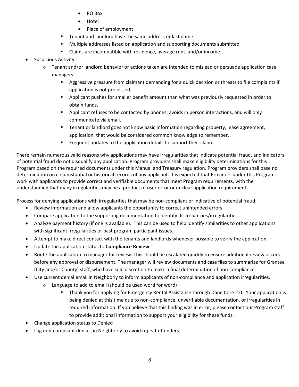- PO Box
- Hotel
- Place of employment
- **Tenant and landlord have the same address or last name**
- Multiple addresses listed on application and supporting documents submitted
- Claims are incompatible with residence, average rent, and/or income.
- **•** Suspicious Activity
	- o Tenant and/or landlord behavior or actions taken are intended to mislead or persuade application case managers.
		- Aggressive pressure from claimant demanding for a quick decision or threats to file complaints if application is not processed.
		- Applicant pushes for smaller benefit amount than what was previously requested in order to obtain funds.
		- Applicant refuses to be contacted by phones, avoids in person interactions, and will only communicate via email.
		- **Tenant or landlord goes not know basic information regarding property, lease agreement,** application, that would be considered common knowledge to remember.
		- **Figuaria** Frequent updates to the application details to support their claim.

There remain numerous valid reasons why applications may have irregularities that indicate potential fraud, and indicators of potential fraud do not disqualify any application. Program providers shall make eligibility determinations for this Program based on the required documents under this Manual and Treasury regulation. Program providers shall base no determination on circumstantial or historical records of any applicant. It is expected that Providers under this Program work with applicants to provide correct and verifiable documents that meet Program requirements, with the understanding that many irregularities may be a product of user error or unclear application requirements.

Process for denying applications with irregularities that may be non‐compliant or indicative of potential fraud:

- Review information and allow applicants the opportunity to correct unintended errors.
- Compare application to the supporting documentation to identify discrepancies/irregularities.
- Analyze payment history (if one is available). This can be used to help identify similarities to other applications with significant irregularities or past program participant issues.
- Attempt to make direct contact with the tenants and landlords whenever possible to verify the application.
- Update the application status to **Compliance Review**
- Route the application to manager for review. This should be escalated quickly to ensure additional review occurs before any approval or disbursement. The manager will review documents and case files to summarize for Grantee (City and/or County) staff, who have sole discretion to make a final determination of non‐compliance.
- Use current denial email in Neighborly to inform applicants of non-compliance and application irregularities.
	- o Language to add to email (should be used word for word)
		- Thank you for applying for Emergency Rental Assistance through Dane Core 2.0. Your application is being denied at this time due to non-compliance, unverifiable documentation, or irregularities in required information. If you believe that this finding was in error, please contact our Program staff to provide additional information to support your eligibility for these funds.
- Change application status to Denied
- Log non-compliant denials in Neighborly to avoid repeat offenders.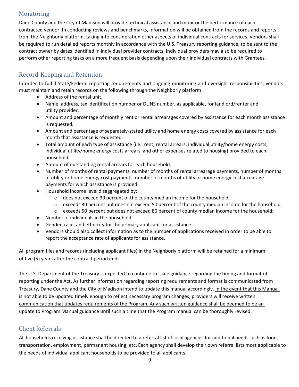# **Monitoring**

Dane County and the City of Madison will provide technical assistance and monitor the performance of each contracted vendor. In conducting reviews and benchmarks, information will be obtained from the records and reports from the Neighborly platform, taking into consideration other aspects of individual contracts for services. Vendors shall be required to run detailed reports monthly in accordance with the U.S. Treasury reporting guidance, to be sent to the contract owner by dates identified in individual provider contracts. Individual providers may also be required to perform other reporting tasks on a more frequent basis depending upon their individual contracts with Grantees.

# Record-Keeping and Retention

In order to fulfill State/Federal reporting requirements and ongoing monitoring and oversight responsibilities, vendors must maintain and retain records on the following through the Neighborly platform:

- Address of the rental unit.
- Name, address, tax identification number or DUNS number, as applicable, for landlord/renter and utility provider.
- Amount and percentage of monthly rent or rental arrearages covered by assistance for each month assistance is requested.
- Amount and percentage of separately-stated utility and home energy costs covered by assistance for each month that assistance is requested.
- Total amount of each type of assistance (i.e., rent, rental arrears, individual utility/home energy costs, individual utility/home energy costs arrears, and other expenses related to housing) provided to each household.
- Amount of outstanding rental arrears for each household.
- Number of months of rental payments, number of months of rental arrearage payments, number of months of utility or home energy cost payments, number of months of utility or home energy cost arrearage payments for which assistance is provided.
- Household income level disaggregated by:
	- o does not exceed 30 percent of the county median income for the household;
	- o exceeds 30 percent but does not exceed 50 percent of the county median income for the household;
	- o exceeds 50 percent but does not exceed 80 percent of county median income for the household;
- Number of individuals in the household.
- Gender, race, and ethnicity for the primary applicant for assistance.
- Vendors should also collect information as to the number of applications received in order to be able to report the acceptance rate of applicants for assistance.

All program files and records (including applicant files) in the Neighborly platform will be retained for a minimum of five (5) years after the contract period ends.

The U.S. Department of the Treasury is expected to continue to issue guidance regarding the timing and format of reporting under the Act. As further information regarding reporting requirements and format is communicated from Treasury, Dane County and the City of Madison intend to update this manual accordingly. In the event that this Manual is not able to be updated timely enough to reflect necessary program changes, providers will receive written communication that updates requirements of the Program. Any such written guidance shall be deemed to be an update to Program Manual guidance until such a time that the Program manual can be thoroughly revised.

# Client Referrals

All households receiving assistance shall be directed to a referral list of local agencies for additional needs such as food, transportation, employment, permanent housing, etc. Each agency shall develop their own referral lists most applicable to the needs of individual applicant households to be provided to all applicants.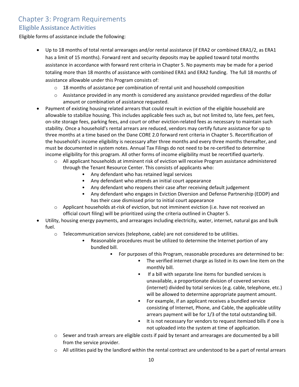# Chapter 3: Program Requirements Eligible Assistance Activities

Eligible forms of assistance include the following:

- Up to 18 months of total rental arrearages and/or rental assistance (if ERA2 or combined ERA1/2, as ERA1 has a limit of 15 months). Forward rent and security deposits may be applied toward total months assistance in accordance with forward rent criteria in Chapter 5. No payments may be made for a period totaling more than 18 months of assistance with combined ERA1 and ERA2 funding. The full 18 months of assistance allowable under this Program consists of:
	- $\circ$  18 months of assistance per combination of rental unit and household composition
	- $\circ$  Assistance provided in any month is considered any assistance provided regardless of the dollar amount or combination of assistance requested.
- Payment of existing housing related arrears that could result in eviction of the eligible household are allowable to stabilize housing. This includes applicable fees such as, but not limited to, late fees, pet fees, on‐site storage fees, parking fees, and court or other eviction‐related fees as necessary to maintain such stability. Once a household's rental arrears are reduced, vendors may certify future assistance for up to three months at a time based on the Dane CORE 2.0 forward rent criteria in Chapter 5. Recertification of the household's income eligibility is necessary after three months and every three months thereafter, and must be documented in system notes. Annual Tax Filings do not need to be re‐certified to determine income eligibility for this program. All other forms of income eligibility must be recertified quarterly.
	- o All applicant households at imminent risk of eviction will receive Program assistance administered through the Tenant Resource Center. This consists of applicants who:
		- Any defendant who has retained legal services
		- Any defendant who attends an initial court appearance
		- Any defendant who reopens their case after receiving default judgement
		- Any defendant who engages in Eviction Diversion and Defense Partnership (EDDP) and has their case dismissed prior to initial court appearance
	- Applicant households at-risk of eviction, but not imminent eviction (i.e. have not received an official court filing) will be prioritized using the criteria outlined in Chapter 5.
- Utility, housing energy payments, and arrearages including electricity, water, internet, natural gas and bulk fuel.
	- o Telecommunication services (telephone, cable) are not considered to be utilities.
		- Reasonable procedures must be utilized to determine the Internet portion of any bundled bill.
			- For purposes of this Program, reasonable procedures are determined to be:
				- The verified internet charge as listed in its own line item on the monthly bill.
				- If a bill with separate line items for bundled services is unavailable, a proportionate division of covered services (internet) divided by total services (e.g. cable, telephone, etc.) will be allowed to determine appropriate payment amount.
				- For example, if an applicant receives a bundled service consisting of Internet, Phone, and Cable, the applicable utility arrears payment will be for 1/3 of the total outstanding bill.
					- It is not necessary for vendors to request itemized bills if one is not uploaded into the system at time of application.
	- $\circ$  Sewer and trash arrears are eligible costs if paid by tenant and arrearages are documented by a bill from the service provider.
	- o All utilities paid by the landlord within the rental contract are understood to be a part of rental arrears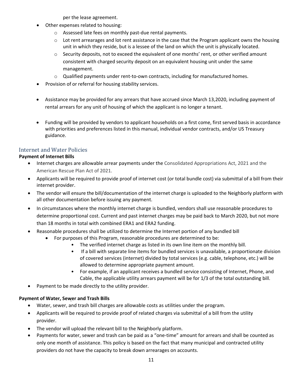per the lease agreement.

- Other expenses related to housing:
	- o Assessed late fees on monthly past‐due rental payments.
	- $\circ$  Lot rent arrearages and lot rent assistance in the case that the Program applicant owns the housing unit in which they reside, but is a lessee of the land on which the unit is physically located.
	- o Security deposits, not to exceed the equivalent of one months' rent, or other verified amount consistent with charged security deposit on an equivalent housing unit under the same management.
	- o Qualified payments under rent‐to‐own contracts, including for manufactured homes.
- Provision of or referral for housing stability services.
- Assistance may be provided for any arrears that have accrued since March 13,2020, including payment of rental arrears for any unit of housing of which the applicant is no longer a tenant.
- Funding will be provided by vendors to applicant households on a first come, first served basis in accordance with priorities and preferences listed in this manual, individual vendor contracts, and/or US Treasury guidance.

#### Internet and Water Policies

#### **Payment of Internet Bills**

- Internet charges are allowable arrear payments under the Consolidated Appropriations Act, 2021 and the American Rescue Plan Act of 2021.
- Applicants will be required to provide proof of internet cost (or total bundle cost) via submittal of a bill from their internet provider.
- The vendor will ensure the bill/documentation of the internet charge is uploaded to the Neighborly platform with all other documentation before issuing any payment.
- In circumstances where the monthly internet charge is bundled, vendors shall use reasonable procedures to determine proportional cost. Current and past internet charges may be paid back to March 2020, but not more than 18 months in total with combined ERA1 and ERA2 funding.
- Reasonable procedures shall be utilized to determine the Internet portion of any bundled bill
	- For purposes of this Program, reasonable procedures are determined to be:
		- The verified internet charge as listed in its own line item on the monthly bill.
		- If a bill with separate line items for bundled services is unavailable, a proportionate division of covered services (internet) divided by total services (e.g. cable, telephone, etc.) will be allowed to determine appropriate payment amount.
		- For example, if an applicant receives a bundled service consisting of Internet, Phone, and Cable, the applicable utility arrears payment will be for 1/3 of the total outstanding bill.
- Payment to be made directly to the utility provider.

#### **Payment of Water, Sewer and Trash Bills**

- Water, sewer, and trash bill charges are allowable costs as utilities under the program.
- Applicants will be required to provide proof of related charges via submittal of a bill from the utility provider.
- The vendor will upload the relevant bill to the Neighborly platform.
- Payments for water, sewer and trash can be paid as a "one‐time" amount for arrears and shall be counted as only one month of assistance. This policy is based on the fact that many municipal and contracted utility providers do not have the capacity to break down arrearages on accounts.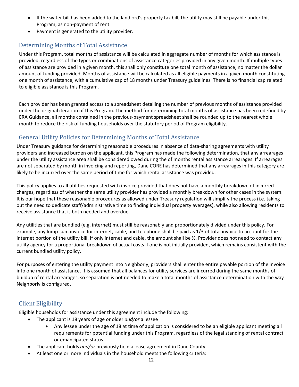- If the water bill has been added to the landlord's property tax bill, the utility may still be payable under this Program, as non‐payment of rent.
- Payment is generated to the utility provider.

# Determining Months of Total Assistance

Under this Program, total months of assistance will be calculated in aggregate number of months for which assistance is provided, regardless of the types or combinations of assistance categories provided in any given month. If multiple types of assistance are provided in a given month, this shall only constitute one total month of assistance, no matter the dollar amount of funding provided. Months of assistance will be calculated as all eligible payments in a given month constituting one month of assistance, with a cumulative cap of 18 months under Treasury guidelines. There is no financial cap related to eligible assistance is this Program.

Each provider has been granted access to a spreadsheet detailing the number of previous months of assistance provided under the original iteration of this Program. The method for determining total months of assistance has been redefined by ERA Guidance, all months contained in the previous‐payment spreadsheet shall be rounded up to the nearest whole month to reduce the risk of funding households over the statutory period of Program eligibility.

# General Utility Policies for Determining Months of Total Assistance

Under Treasury guidance for determining reasonable procedures in absence of data‐sharing agreements with utility providers and increased burden on the applicant, this Program has made the following determination, that any arrearages under the utility assistance area shall be considered owed during the of months rental assistance arrearages. If arrearages are not separated by month in invoicing and reporting, Dane CORE has determined that any arrearages in this category are likely to be incurred over the same period of time for which rental assistance was provided.

This policy applies to all utilities requested with invoice provided that does not have a monthly breakdown of incurred charges, regardless of whether the same utility provider has provided a monthly breakdown for other cases in the system. It is our hope that these reasonable procedures as allowed under Treasury regulation will simplify the process (i.e. taking out the need to dedicate staff/administrative time to finding individual property averages), while also allowing residents to receive assistance that is both needed and overdue.

Any utilities that are bundled (e.g. internet) must still be reasonably and proportionately divided under this policy. For example, any lump-sum invoice for internet, cable, and telephone shall be paid as 1/3 of total invoice to account for the internet portion of the utility bill. If only internet and cable, the amount shall be ½. Provider does not need to contact any utility agency for a proportional breakdown of actual costs if one is not initially provided, which remains consistent with the current bundled utility policy.

For purposes of entering the utility payment into Neighborly, providers shall enter the entire payable portion of the invoice into one month of assistance. It is assumed that all balances for utility services are incurred during the same months of buildup of rental arrearages, so separation is not needed to make a total months of assistance determination with the way Neighborly is configured.

# Client Eligibility

Eligible households for assistance under this agreement include the following:

- The applicant is 18 years of age or older *and/or* a lessee
	- Any lessee under the age of 18 at time of application is considered to be an eligible applicant meeting all requirements for potential funding under this Program, regardless of the legal standing of rental contract or emancipated status.
- The applicant holds *and/or* previously held a lease agreement in Dane County.
	- At least one or more individuals in the household meets the following criteria: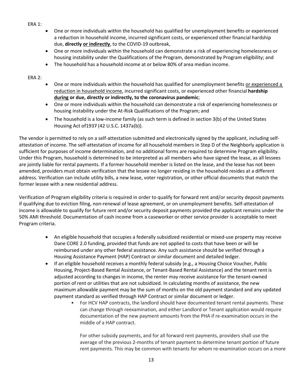- ERA 1:
- One or more individuals within the household has qualified for unemployment benefits or experienced a reduction in household income, incurred significant costs, or experienced other financial hardship due, **directly or indirectly**, to the COVID‐19 outbreak,
- One or more individuals within the household can demonstrate a risk of experiencing homelessness or housing instability under the Qualifications of the Program, demonstrated by Program eligibility; and
- The household has a household income at or below 80% of area median income.

ERA 2:

- One or more individuals within the household has qualified for unemployment benefits or experienced a reduction in household income, incurred significant costs, or experienced other financial **hardship during or due, directly or indirectly, to the coronavirus pandemic**;
- One or more individuals within the household can demonstrate a risk of experiencing homelessness or housing instability under the At‐Risk Qualifications of the Program; and
- The household is a low-income family (as such term is defined in section 3(b) of the United States Housing Act of1937 (42 U.S.C. 1437a(b)).

The vendor is permitted to rely on a self-attestation submitted and electronically signed by the applicant, including selfattestation of income. The self‐attestation of income for all household members in Step D of the Neighborly application is sufficient for purposes of income determination, and no additional forms are required to determine Program eligibility. Under this Program, household is determined to be interpreted as all members who have signed the lease, as all lessees are jointly liable for rental payments. If a former household member is listed on the lease, and the lease has not been amended, providers must obtain verification that the lessee no longer residing in the household resides at a different address. Verification can include utility bills, a new lease, voter registration, or other official documents that match the former lessee with a new residential address.

Verification of Program eligibility criteria is required in order to qualify for forward rent and/or security deposit payments if qualifying due to eviction filing, non-renewal of lease agreement, or on unemployment benefits. Self-attestation of income is allowable to qualify for future rent and/or security deposit payments provided the applicant remains under the 50% AMI threshold. Documentation of cash income from a caseworker or other service provider is acceptable to meet Program criteria.

- An eligible household that occupies a federally subsidized residential or mixed-use property may receive Dane CORE 2.0 funding, provided that funds are not applied to costs that have been or will be reimbursed under any other federal assistance. Any such assistance should be verified through a Housing Assistance Payment (HAP) Contract or similar document and detailed ledger.
- If an eligible household receives a monthly federal subsidy (e.g., a Housing Choice Voucher, Public Housing, Project‐Based Rental Assistance, or Tenant‐Based Rental Assistance) and the tenant rent is adjusted according to changes in income, the renter may receive assistance for the tenant‐owned portion of rent or utilities that are not subsidized. In calculating months of assistance, the new maximum allowable payment may be the sum of months on the old payment standard and any updated payment standard as verified through HAP Contract or similar document or ledger.
	- For HCV HAP contracts, the landlord should have documented tenant rental payments. These can change through reexamination, and either Landlord or Tenant application would require documentation of the new payment amounts from the PHA if re‐examination occurs in the middle of a HAP contract.

For other subsidy payments, and for all forward rent payments, providers shall use the average of the previous 2‐months of tenant payment to determine tenant portion of future rent payments. This may be common with tenants for whom re-examination occurs on a more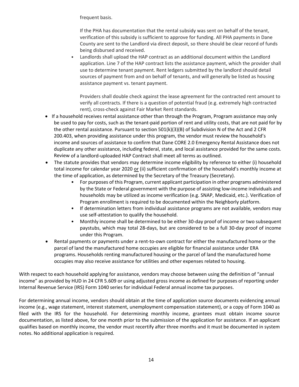frequent basis.

If the PHA has documentation that the rental subsidy was sent on behalf of the tenant, verification of this subsidy is sufficient to approve for funding. All PHA payments in Dane County are sent to the Landlord via direct deposit, so there should be clear record of funds being disbursed and received.

• Landlords shall upload the HAP contract as an additional document within the Landlord application. Line 7 of the HAP contract lists the assistance payment, which the provider shall use to determine tenant payment. Rent ledgers submitted by the landlord should detail sources of payment from and on behalf of tenants, and will generally be listed as housing assistance payment vs. tenant payment.

Providers shall double check against the lease agreement for the contracted rent amount to verify all contracts. If there is a question of potential fraud (e.g. extremely high contracted rent), cross‐check against Fair Market Rent standards.

- If a household receives rental assistance other than through the Program, Program assistance may only be used to pay for costs, such as the tenant‐paid portion of rent and utility costs, that are not paid for by the other rental assistance. Pursuant to section 501(k)(3)(B) of Subdivision N of the Act and 2 CFR 200.403, when providing assistance under this program, the vendor must review the household's income and sources of assistance to confirm that Dane CORE 2.0 Emergency Rental Assistance does not duplicate any other assistance, including federal, state, and local assistance provided for the same costs. Review of a landlord‐uploaded HAP Contract shall meet all terms as outlined.
- The statute provides that vendors may determine income eligibility by reference to either (i) household total income for calendar year 2020 or (ii) sufficient confirmation of the household's monthly income at the time of application, as determined by the Secretary of the Treasury (Secretary).
	- For purposes of this Program, current applicant participation in other programs administered by the State or Federal government with the purpose of assisting low‐income individuals and households may be utilized as income verification (e.g. SNAP, Medicaid, etc.). Verification of Program enrollment is required to be documented within the Neighborly platform.
	- If determination letters from individual assistance programs are not available, vendors may use self‐attestation to qualify the household.
	- Monthly income shall be determined to be either 30‐day proof of income or two subsequent paystubs, which may total 28‐days, but are considered to be a full 30‐day proof of income under this Program.
- Rental payments or payments under a rent-to-own contract for either the manufactured home or the parcel of land the manufactured home occupies are eligible for financial assistance under ERA programs. Households renting manufactured housing or the parcel of land the manufactured home occupies may also receive assistance for utilities and other expenses related to housing.

With respect to each household applying for assistance, vendors may choose between using the definition of "annual income" as provided by HUD in 24 CFR 5.609 or using adjusted gross income as defined for purposes of reporting under Internal Revenue Service (IRS) Form 1040 series for individual Federal annual income tax purposes.

For determining annual income, vendors should obtain at the time of application source documents evidencing annual income (e.g., wage statement, interest statement, unemployment compensation statement), or a copy of Form 1040 as filed with the IRS for the household. For determining monthly income, grantees must obtain income source documentation, as listed above, for one month prior to the submission of the application for assistance. If an applicant qualifies based on monthly income, the vendor must recertify after three months and it must be documented in system notes. No additional application is required.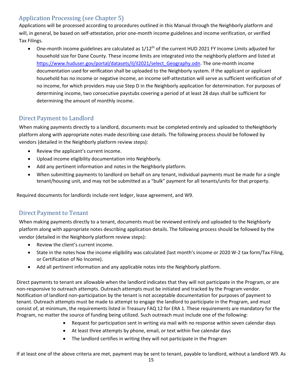# Application Processing (see Chapter 5)

Applications will be processed according to procedures outlined in this Manual through the Neighborly platform and will, in general, be based on self‐attestation, prior one‐month income guidelines and income verification, or verified Tax Filings.

● One-month income guidelines are calculated as 1/12<sup>th</sup> of the current HUD 2021 FY Income Limits adjusted for household size for Dane County. These income limits are integrated into the neighborly platform and listed at https://www.huduser.gov/portal/datasets/il/il2021/select\_Geography.odn. The one-month income documentation used for verification shall be uploaded to the Neighborly system. If the applicant or applicant household has no income or negative income, an income self-attestation will serve as sufficient verification of of no income, for which providers may use Step D in the Neighborly application for determination. For purposes of determining income, two consecutive paystubs covering a period of at least 28 days shall be sufficient for determining the amount of monthly income.

# Direct Payment to Landlord

When making payments directly to a landlord, documents must be completed entirely and uploaded to theNeighborly platform along with appropriate notes made describing case details. The following process should be followed by vendors (detailed in the Neighborly platform review steps):

- Review the applicant's current income.
- Upload income eligibility documentation into Neighborly.
- Add any pertinent information and notes in the Neighborly platform.
- When submitting payments to landlord on behalf on any tenant, individual payments must be made for a single tenant/housing unit, and may not be submitted as a "bulk" payment for all tenants/units for that property.

Required documents for landlords include rent ledger, lease agreement, and W9.

# Direct Payment to Tenant

When making payments directly to a tenant, documents must be reviewed entirely and uploaded to the Neighborly platform along with appropriate notes describing application details. The following process should be followed by the vendor (detailed in the Neighborly platform review steps):

- Review the client's current income.
- State in the notes how the income eligibility was calculated (last month's income or 2020 W‐2 tax form/Tax Filing, or Certification of No Income).
- Add all pertinent information and any applicable notes into the Neighborly platform.

Direct payments to tenant are allowable when the landlord indicates that they will not participate in the Program, or are non‐responsive to outreach attempts. Outreach attempts must be initiated and tracked by the Program vendor. Notification of landlord non‐participation by the tenant is not acceptable documentation for purposes of payment to tenant. Outreach attempts must be made to attempt to engage the landlord to participate in the Program, and must consist of, at minimum, the requirements listed in Treasury FAQ 12 for ERA 1. These requirements are mandatory for the Program, no matter the source of funding being utilized. Such outreach must include one of the following:

- Request for participation sent in writing via mail with no response within seven calendar days
- At least three attempts by phone, email, or text within five calendar days
- The landlord certifies in writing they will not participate in the Program

If at least one of the above criteria are met, payment may be sent to tenant, payable to landlord, without a landlord W9. As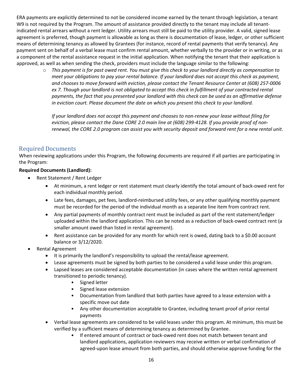ERA payments are explicitly determined to not be considered income earned by the tenant through legislation, a tenant W9 is not required by the Program. The amount of assistance provided directly to the tenant may include all tenantindicated rental arrears without a rent ledger. Utility arrears must still be paid to the utility provider. A valid, signed lease agreement is preferred, though payment is allowable as long as there is documentation of lease, ledger, or other sufficient means of determining tenancy as allowed by Grantees (for instance, record of rental payments that verify tenancy). Any payment sent on behalf of a verbal lease must confirm rental amount, whether verbally to the provider or in writing, or as a component of the rental assistance request in the initial application. When notifying the tenant that their application is approved, as well as when sending the check, providers must include the language similar to the following:

 $\circ$  This payment is for past owed rent. You must give this check to your landlord directly as compensation to meet your obligations to pay your rental balance. If your landlord does not accept this check as payment, and chooses to move forward with eviction, please contact the Tenant Resource Center at (608) 257-0006 ex 7. Though your landlord is not obligated to accept this check in fulfillment of your contracted rental payments, the fact that you presented your landlord with this check can be used as an affirmative defense *in eviction court. Please document the date on which you present this check to your landlord.* 

If your landlord does not accept this payment and chooses to non-renew your lease without filing for eviction, please contact the Dane CORE 2.0 main line at (608) 299-4128. If you provide proof of nonrenewal, the CORE 2.0 program can assist you with security deposit and forward rent for a new rental unit.

#### Required Documents

When reviewing applications under this Program, the following documents are required if all parties are participating in the Program:

#### **Required Documents (Landlord):**

- Rent Statement / Rent Ledger
	- At minimum, a rent ledger or rent statement must clearly identify the total amount of back-owed rent for each individual monthly period.
	- Late fees, damages, pet fees, landlord-reimbursed utility fees, or any other qualifying monthly payment must be recorded for the period of the individual month as a separate line item from contract rent.
	- Any partial payments of monthly contract rent must be included as part of the rent statement/ledger uploaded within the landlord application. This can be noted as a reduction of back‐owed contract rent (a smaller amount owed than listed in rental agreement).
	- Rent assistance can be provided for any month for which rent is owed, dating back to a \$0.00 account balance or 3/12/2020.
- Rental Agreement
	- It is primarily the landlord's responsibility to upload the rental/lease agreement.
	- Lease agreements must be signed by both parties to be considered a valid lease under this program.
	- Lapsed leases are considered acceptable documentation (in cases where the written rental agreement transitioned to periodic tenancy).
		- Signed letter
		- Signed lease extension
		- Documentation from landlord that both parties have agreed to a lease extension with a specific move out date
		- Any other documentation acceptable to Grantee, including tenant proof of prior rental payments
	- Verbal lease agreements are considered to be valid leases under this program. At minimum, this must be verified by a sufficient means of determining tenancy as determined by Grantee.
		- If entered amount of contract or back-owed rent does not match between tenant and landlord applications, application reviewers may receive written or verbal confirmation of agreed-upon lease amount from both parties, and should otherwise approve funding for the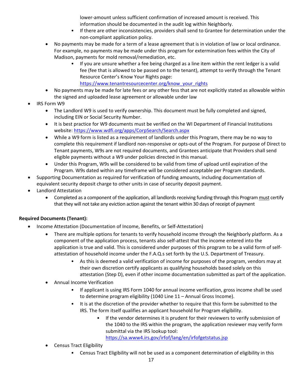lower-amount unless sufficient confirmation of increased amount is received. This information should be documented in the audit log within Neighborly.

- If there are other inconsistencies, providers shall send to Grantee for determination under the non‐compliant application policy.
- No payments may be made for a term of a lease agreement that is in violation of law or local ordinance. For example, no payments may be made under this program for extermination fees within the City of Madison, payments for mold removal/remediation, etc.
	- If you are unsure whether a fee being charged as a line item within the rent ledger is a valid fee (fee that is allowed to be passed on to the tenant), attempt to verify through the Tenant Resource Center's Know Your Rights page: https://www.tenantresourcecenter.org/know\_your\_rights
- No payments may be made for late fees or any other fess that are not explicitly stated as allowable within the signed and uploaded lease agreement or allowable under law
- IRS Form W9
	- The Landlord W9 is used to verify ownership. This document must be fully completed and signed, including EIN or Social Security Number.
	- It is best practice for W9 documents must be verified on the WI Department of Financial Institutions website: https://www.wdfi.org/apps/CorpSearch/Search.aspx
	- While a W9 form is listed as a requirement of landlords under this Program, there may be no way to complete this requirement if landlord non‐responsive or opts‐out of the Program. For purpose of Direct to Tenant payments, W9s are not required documents, and Grantees anticipate that Providers shall send eligible payments without a W9 under policies directed in this manual.
	- Under this Program, W9s will be considered to be valid from time of upload until expiration of the Program. W9s dated within any timeframe will be considered acceptable per Program standards.
- Supporting Documentation as required for verification of funding amounts, including documentation of equivalent security deposit charge to other units in case of security deposit payment.
- Landlord Attestation
	- Completed as a component of the application, all landlords receiving funding through this Program must certify that they will not take any eviction action against the tenant within 30 days of receipt of payment

#### **Required Documents (Tenant):**

- Income Attestation (Documentation of Income, Benefits, or Self‐Attestation)
	- There are multiple options for tenants to verify household income through the Neighborly platform. As a component of the application process, tenants also self‐attest that the income entered into the application is true and valid. This is considered under purposes of this program to be a valid form of self‐ attestation of household income under the F.A.Q.s set forth by the U.S. Department of Treasury.
		- As this is deemed a valid verification of income for purposes of the program, vendors may at their own discretion certify applicants as qualifying households based solely on this attestation (Step D), even if other income documentation submitted as part of the application.
	- Annual Income Verification
		- If applicant is using IRS Form 1040 for annual income verification, gross income shall be used to determine program eligibility (1040 Line 11 – Annual Gross Income).
		- It is at the discretion of the provider whether to require that this form be submitted to the IRS. The form itself qualifies an applicant household for Program eligibility.
			- If the vendor determines it is prudent for their reviewers to verify submission of the 1040 to the IRS within the program, the application reviewer may verify form submittal via the IRS lookup tool:

https://sa.www4.irs.gov/irfof/lang/en/irfofgetstatus.jsp

- Census Tract Eligibility
	- Census Tract Eligibility will not be used as a component determination of eligibility in this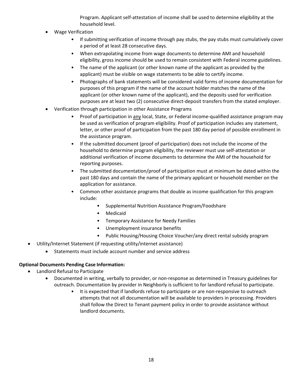Program. Applicant self‐attestation of income shall be used to determine eligibility at the household level.

- Wage Verification
	- If submitting verification of income through pay stubs, the pay stubs must cumulatively cover a period of at least 28 consecutive days.
	- When extrapolating income from wage documents to determine AMI and household eligibility, gross income should be used to remain consistent with Federal income guidelines.
	- The name of the applicant (or other known name of the applicant as provided by the applicant) must be visible on wage statements to be able to certify income.
	- Photographs of bank statements will be considered valid forms of income documentation for purposes of this program if the name of the account holder matches the name of the applicant (or other known name of the applicant), and the deposits used for verification purposes are at least two (2) consecutive direct‐deposit transfers from the stated employer.
- Verification through participation in other Assistance Programs
	- Proof of participation in any local, State, or Federal income-qualified assistance program may be used as verification of program eligibility. Proof of participation includes any statement, letter, or other proof of participation from the past 180 day period of possible enrollment in the assistance program.
	- If the submitted document (proof of participation) does not include the income of the household to determine program eligibility, the reviewer must use self‐attestation or additional verification of income documents to determine the AMI of the household for reporting purposes.
	- The submitted documentation/proof of participation must at minimum be dated within the past 180 days and contain the name of the primary applicant or household member on the application for assistance.
	- Common other assistance programs that double as income qualification for this program include:
		- Supplemental Nutrition Assistance Program/Foodshare
		- Medicaid
		- Temporary Assistance for Needy Families
		- Unemployment insurance benefits
		- Public Housing/Housing Choice Voucher/any direct rental subsidy program
- Utility/Internet Statement (if requesting utility/internet assistance)
	- Statements must include account number and service address

#### **Optional Documents Pending Case Information:**

- Landlord Refusal to Participate
	- Documented in writing, verbally to provider, or non‐response as determined in Treasury guidelines for outreach. Documentation by provider in Neighborly is sufficient to for landlord refusal to participate.
		- It is expected that if landlords refuse to participate or are non-responsive to outreach attempts that not all documentation will be available to providers in processing. Providers shall follow the Direct to Tenant payment policy in order to provide assistance without landlord documents.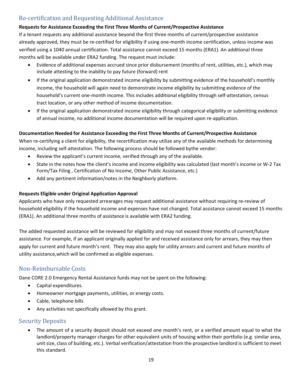# Re-certification and Requesting Additional Assistance

#### **Requests for Assistance Exceeding the First Three Months of Current/Prospective Assistance**

If a tenant requests any additional assistance beyond the first three months of current/prospective assistance already approved, they must be re‐certified for eligibility if using one‐month income certification, unless income was verified using a 1040 annual certification. Total assistance cannot exceed 15 months (ERA1). An additional three months will be available under ERA2 funding. The request must include:

- Evidence of additional expenses accrued since prior disbursement (months of rent, utilities, etc.), which may include attesting to the inability to pay future (forward) rent
- If the original application demonstrated income eligibility by submitting evidence of the household's monthly income, the household will again need to demonstrate income eligibility by submitting evidence of the household's current one‐month income. This includes additional eligibility through self‐attestation, census tract location, or any other method of income documentation.
- If the original application demonstrated income eligibility through categorical eligibility or submitting evidence of annual income, no additional income documentation will be required upon re‐application.

#### **Documentation Needed for Assistance Exceeding the First Three Months of Current/Prospective Assistance**

When re-certifying a client for eligibility, the recertification may utilize any of the available methods for determining income, including self‐attestation. The following process should be followed bythe vendor:

- Review the applicant's current income, verified through any of the available.
- State in the notes how the client's income and income eligibility was calculated (last month's income or W-2 Tax Form/Tax Filing , Certification of No Income, Other Public Assistance, etc.)
- Add any pertinent information/notes in the Neighborly platform.

#### **Requests Eligible under Original Application Approval**

Applicants who have only requested arrearages may request additional assistance without requiring re‐review of household eligibility if the household income and expenses have not changed. Total assistance cannot exceed 15 months (ERA1). An additional three months of assistance is available with ERA2 funding.

The added requested assistance will be reviewed for eligibility and may not exceed three months of current/future assistance. For example, if an applicant originally applied for and received assistance only for arrears, they may then apply for current and future month's rent. They may also apply for utility arrears and current and future months of utility assistance,which will be confirmed as eligible expenses.

#### Non-Reimbursable Costs

Dane CORE 2.0 Emergency Rental Assistance funds may not be spent on the following:

- Capital expenditures.
- Homeowner mortgage payments, utilities, or energy costs.
- Cable, telephone bills
- Any activities not specifically allowed by this grant.

#### Security Deposits

 The amount of a security deposit should not exceed one month's rent, or a verified amount equal to what the landlord/property manager charges for other equivalent units of housing within their portfolio (e.g. similar area, unit size, class of building, etc.). Verbal verification/attestation from the prospective landlord is sufficient to meet this standard.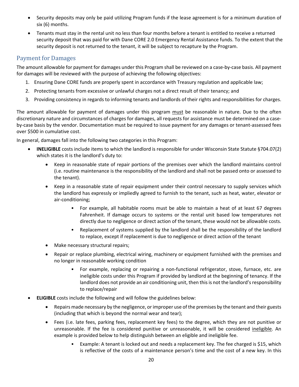- Security deposits may only be paid utilizing Program funds if the lease agreement is for a minimum duration of six (6) months.
- Tenants must stay in the rental unit no less than four months before a tenant is entitled to receive a returned security deposit that was paid for with Dane CORE 2.0 Emergency Rental Assistance funds. To the extent that the security deposit is not returned to the tenant, it will be subject to recapture by the Program.

#### Payment for Damages

The amount allowable for payment for damages under this Program shall be reviewed on a case‐by‐case basis. All payment for damages will be reviewed with the purpose of achieving the following objectives:

- 1. Ensuring Dane CORE funds are properly spent in accordance with Treasury regulation and applicable law;
- 2. Protecting tenants from excessive or unlawful charges not a direct result of their tenancy; and
- 3. Providing consistency in regards to informing tenants and landlords of their rights and responsibilities for charges.

The amount allowable for payment of damages under this program must be reasonable in nature. Due to the often discretionary nature and circumstances of charges for damages, all requests for assistance must be determined on a case‐ by-case basis by the vendor. Documentation must be required to issue payment for any damages or tenant-assessed fees over \$500 in cumulative cost.

In general, damages fall into the following two categories in this Program:

- **INELIGIBLE** costs include items to which the landlord is responsible for under Wisconsin State Statute §704.07(2) which states it is the landlord's duty to:
	- Keep in reasonable state of repair portions of the premises over which the landlord maintains control (i.e. routine maintenance is the responsibility of the landlord and shall not be passed onto or assessed to the tenant).
	- Keep in a reasonable state of repair equipment under their control necessary to supply services which the landlord has expressly or impliedly agreed to furnish to the tenant, such as heat, water, elevator or air‐conditioning;
		- For example, all habitable rooms must be able to maintain a heat of at least 67 degrees Fahrenheit. If damage occurs to systems or the rental unit based low temperatures not directly due to negligence or direct action of the tenant, these would not be allowable costs.
		- Replacement of systems supplied by the landlord shall be the responsibility of the landlord to replace, except if replacement is due to negligence or direct action of the tenant
	- Make necessary structural repairs;
	- Repair or replace plumbing, electrical wiring, machinery or equipment furnished with the premises and no longer in reasonable working condition
		- For example, replacing or repairing a non-functional refrigerator, stove, furnace, etc. are ineligible costs under this Program if provided by landlord at the beginning of tenancy. If the landlord does not provide an air conditioning unit, then this is not the landlord's responsibility to replace/repair
- **ELIGIBLE** costs include the following and will follow the guidelines below:
	- Repairs made necessary by the negligence, orimproper use of the premises by the tenant and their guests (including that which is beyond the normal wear and tear);
	- Fees (i.e. late fees, parking fees, replacement key fees) to the degree, which they are not punitive or unreasonable. If the fee is considered punitive or unreasonable, it will be considered ineligible. An example is provided below to help distinguish between an eligible and ineligible fee.
		- Example: A tenant is locked out and needs a replacement key. The fee charged is \$15, which is reflective of the costs of a maintenance person's time and the cost of a new key. In this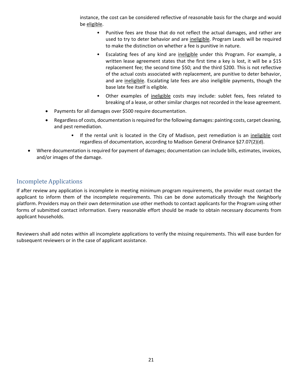instance, the cost can be considered reflective of reasonable basis for the charge and would be eligible.

- Punitive fees are those that do not reflect the actual damages, and rather are used to try to deter behavior and are ineligible. Program Leads will be required to make the distinction on whether a fee is punitive in nature.
- Escalating fees of any kind are ineligible under this Program. For example, a written lease agreement states that the first time a key is lost, it will be a \$15 replacement fee; the second time \$50; and the third \$200. This is not reflective of the actual costs associated with replacement, are punitive to deter behavior, and are ineligible. Escalating late fees are also ineligible payments, though the base late fee itself is eligible.
- Other examples of ineligible costs may include: sublet fees, fees related to breaking of a lease, or other similar charges not recorded in the lease agreement.
- Payments for all damages over \$500 require documentation.
- Regardless of costs, documentation isrequired for the following damages: painting costs, carpet cleaning, and pest remediation.
	- If the rental unit is located in the City of Madison, pest remediation is an ineligible cost regardless of documentation, according to Madison General Ordinance §27.07(2)(d).
- Where documentation is required for payment of damages; documentation can include bills, estimates, invoices, and/or images of the damage.

#### Incomplete Applications

If after review any application is incomplete in meeting minimum program requirements, the provider must contact the applicant to inform them of the incomplete requirements. This can be done automatically through the Neighborly platform. Providers may on their own determination use other methods to contact applicants for the Program using other forms of submitted contact information. Every reasonable effort should be made to obtain necessary documents from applicant households.

Reviewers shall add notes within all incomplete applications to verify the missing requirements. This will ease burden for subsequent reviewers or in the case of applicant assistance.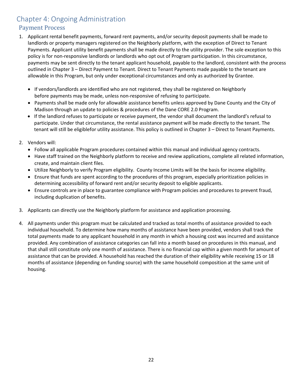# Chapter 4: Ongoing Administration

# Payment Process

- 1. Applicant rental benefit payments, forward rent payments, and/or security deposit payments shall be made to landlords or property managers registered on the Neighborly platform, with the exception of Direct to Tenant Payments. Applicant utility benefit payments shall be made directly to the utility provider. The sole exception to this policy is for non‐responsive landlords or landlords who opt out of Program participation. In this circumstance, payments may be sent directly to the tenant applicant household, payable to the landlord, consistent with the process outlined in Chapter 3 – Direct Payment to Tenant. Direct to Tenant Payments made payable to the tenant are allowable in this Program, but only under exceptional circumstances and only as authorized by Grantee.
	- If vendors/landlords are identified who are not registered, they shall be registered on Neighborly before payments may be made, unless non‐responsive of refusing to participate.
	- Payments shall be made only for allowable assistance benefits unless approved by Dane County and the City of Madison through an update to policies & procedures of the Dane CORE 2.0 Program.
	- If the landlord refuses to participate or receive payment, the vendor shall document the landlord's refusal to participate. Under that circumstance, the rental assistance payment will be made directly to the tenant. The tenant will still be eligiblefor utility assistance. This policy is outlined in Chapter 3 – Direct to Tenant Payments.
- 2. Vendors will:
	- Follow all applicable Program procedures contained within this manual and individual agency contracts.
	- Have staff trained on the Neighborly platform to receive and review applications, complete all related information, create, and maintain client files.
	- Utilize Neighborly to verify Program eligibility. County Income Limits will be the basis for income eligibility.
	- Ensure that funds are spent according to the procedures of this program, especially prioritization policies in determining accessibility of forward rent and/or security deposit to eligible applicants.
	- Ensure controls are in place to guarantee compliance with Program policies and procedures to prevent fraud, including duplication of benefits.
- 3. Applicants can directly use the Neighborly platform for assistance and application processing.
- 4. All payments under this program must be calculated and tracked as total months of assistance provided to each individual household. To determine how many months of assistance have been provided, vendors shall track the total payments made to any applicant household in any month in which a housing cost was incurred and assistance provided. Any combination of assistance categories can fall into a month based on procedures in this manual, and that shall still constitute only one month of assistance. There is no financial cap within a given month for amount of assistance that can be provided. A household has reached the duration of their eligibility while receiving 15 or 18 months of assistance (depending on funding source) with the same household composition at the same unit of housing.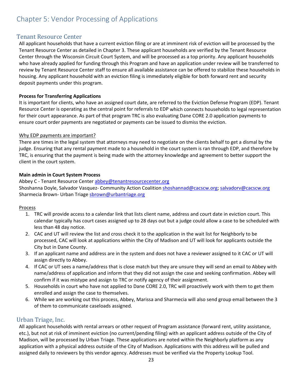# Chapter 5: Vendor Processing of Applications

#### Tenant Resource Center

All applicant households that have a current eviction filing or are at imminent risk of eviction will be processed by the Tenant Resource Center as detailed in Chapter 3. These applicant households are verified by the Tenant Resource Center through the Wisconsin Circuit Court System, and will be processed as a top priority. Any applicant households who have already applied for funding through this Program and have an application under review will be transferred to review by Tenant Resource Center staff to ensure all available assistance can be offered to stabilize these households in housing. Any applicant household with an eviction filing is immediately eligible for both forward rent and security deposit payments under this program.

#### **Process for Transferring Applications**

It is important for clients, who have an assigned court date, are referred to the Eviction Defense Program (EDP). Tenant Resource Center is operating as the central point for referrals to EDP which connects households to legal representation for their court appearance. As part of that program TRC is also evaluating Dane CORE 2.0 application payments to ensure court order payments are negotiated or payments can be issued to dismiss the eviction.

#### Why EDP payments are important?

There are times in the legal system that attorneys may need to negotiate on the clients behalf to get a dismal by the judge. Ensuring that any rental payment made to a household in the court system is ran through EDP, and therefore by TRC, is ensuring that the payment is being made with the attorney knowledge and agreement to better support the client in the court system.

#### **Main admin in Court System Process**

Abbey C - Tenant Resource Center abbey@tenantresourcecenter.org Shoshanna Doyle, Salvador Vasquez- Community Action Coalition shoshannad@cacscw.org; salvadorv@cacscw.org Sharmecia Brown- Urban Triage sbrown@urbantriage.org

#### Process

- 1. TRC will provide access to a calendar link that lists client name, address and court date in eviction court. This calendar typically has court cases assigned up to 28 days out but a judge could allow a case to be scheduled with less than 48 day notice.
- 2. CAC and UT will review the list and cross check it to the application in the wait list for Neighborly to be processed, CAC will look at applications within the City of Madison and UT will look for applicants outside the City but in Dane County.
- 3. If an applicant name and address are in the system and does not have a reviewer assigned to it CAC or UT will assign directly to Abbey.
- 4. If CAC or UT sees a name/address that is close match but they are unsure they will send an email to Abbey with name/address of application and inform that they did not assign the case and seeking confirmation. Abbey will confirm if it was mistype and assign to TRC or notify agency of their assignment.
- 5. Households in court who have not applied to Dane CORE 2.0, TRC will proactively work with them to get them enrolled and assign the case to themselves.
- 6. While we are working out this process, Abbey, Marissa and Sharmecia will also send group email between the 3 of them to communicate caseloads assigned.

#### Urban Triage, Inc.

All applicant households with rental arrears or other request of Program assistance (forward rent, utility assistance, etc.), but not at risk of imminent eviction (no current/pending filing) with an applicant address outside of the City of Madison, will be processed by Urban Triage. These applications are noted within the Neighborly platform as any application with a physical address outside of the City of Madison. Applications with this address will be pulled and assigned daily to reviewers by this vendor agency. Addresses must be verified via the Property Lookup Tool.